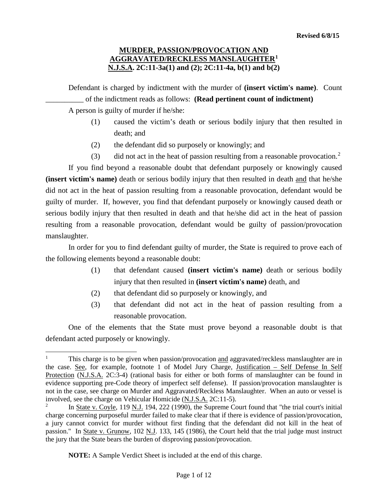Defendant is charged by indictment with the murder of **(insert victim's name)**. Count \_\_\_\_\_\_\_\_\_\_ of the indictment reads as follows: **(Read pertinent count of indictment)** A person is guilty of murder if he/she:

- (1) caused the victim's death or serious bodily injury that then resulted in death; and
- (2) the defendant did so purposely or knowingly; and
- (3) did not act in the heat of passion resulting from a reasonable provocation.<sup>[2](#page-0-1)</sup>

If you find beyond a reasonable doubt that defendant purposely or knowingly caused **(insert victim's name)** death or serious bodily injury that then resulted in death and that he/she did not act in the heat of passion resulting from a reasonable provocation, defendant would be guilty of murder. If, however, you find that defendant purposely or knowingly caused death or serious bodily injury that then resulted in death and that he/she did act in the heat of passion resulting from a reasonable provocation, defendant would be guilty of passion/provocation manslaughter.

In order for you to find defendant guilty of murder, the State is required to prove each of the following elements beyond a reasonable doubt:

- (1) that defendant caused **(insert victim's name)** death or serious bodily injury that then resulted in **(insert victim's name)** death, and
- (2) that defendant did so purposely or knowingly, and
- (3) that defendant did not act in the heat of passion resulting from a reasonable provocation.

One of the elements that the State must prove beyond a reasonable doubt is that defendant acted purposely or knowingly.

**NOTE:** A Sample Verdict Sheet is included at the end of this charge.

<span id="page-0-0"></span>This charge is to be given when passion/provocation and aggravated/reckless manslaughter are in the case. See, for example, footnote 1 of Model Jury Charge, Justification – Self Defense In Self Protection (N.J.S.A. 2C:3-4) (rational basis for either or both forms of manslaughter can be found in evidence supporting pre-Code theory of imperfect self defense). If passion/provocation manslaughter is not in the case, see charge on Murder and Aggravated/Reckless Manslaughter. When an auto or vessel is involved, see the charge on Vehicular Homicide (N.J.S.A. 2C:11-5).

<span id="page-0-1"></span><sup>&</sup>lt;sup>2</sup> In <u>State v. Coyle</u>, 119 N.J. 194, 222 (1990), the Supreme Court found that "the trial court's initial charge concerning purposeful murder failed to make clear that if there is evidence of passion/provocation, a jury cannot convict for murder without first finding that the defendant did not kill in the heat of passion." In State v. Grunow, 102 N.J. 133, 145 (1986), the Court held that the trial judge must instruct the jury that the State bears the burden of disproving passion/provocation.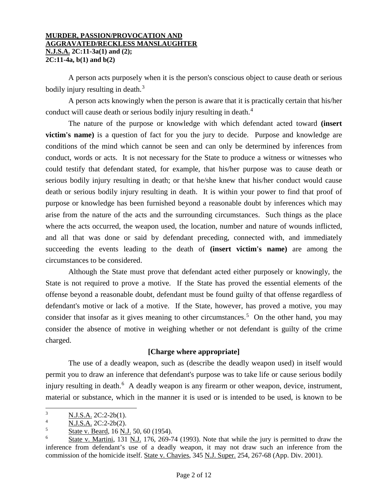A person acts purposely when it is the person's conscious object to cause death or serious bodily injury resulting in death. $3$ 

A person acts knowingly when the person is aware that it is practically certain that his/her conduct will cause death or serious bodily injury resulting in death.<sup>[4](#page-1-1)</sup>

The nature of the purpose or knowledge with which defendant acted toward **(insert victim's name)** is a question of fact for you the jury to decide. Purpose and knowledge are conditions of the mind which cannot be seen and can only be determined by inferences from conduct, words or acts. It is not necessary for the State to produce a witness or witnesses who could testify that defendant stated, for example, that his/her purpose was to cause death or serious bodily injury resulting in death; or that he/she knew that his/her conduct would cause death or serious bodily injury resulting in death. It is within your power to find that proof of purpose or knowledge has been furnished beyond a reasonable doubt by inferences which may arise from the nature of the acts and the surrounding circumstances. Such things as the place where the acts occurred, the weapon used, the location, number and nature of wounds inflicted, and all that was done or said by defendant preceding, connected with, and immediately succeeding the events leading to the death of **(insert victim's name)** are among the circumstances to be considered.

Although the State must prove that defendant acted either purposely or knowingly, the State is not required to prove a motive. If the State has proved the essential elements of the offense beyond a reasonable doubt, defendant must be found guilty of that offense regardless of defendant's motive or lack of a motive. If the State, however, has proved a motive, you may consider that insofar as it gives meaning to other circumstances.<sup>[5](#page-1-2)</sup> On the other hand, you may consider the absence of motive in weighing whether or not defendant is guilty of the crime charged.

## **[Charge where appropriate]**

The use of a deadly weapon, such as (describe the deadly weapon used) in itself would permit you to draw an inference that defendant's purpose was to take life or cause serious bodily injury resulting in death.<sup>[6](#page-1-3)</sup> A deadly weapon is any firearm or other weapon, device, instrument, material or substance, which in the manner it is used or is intended to be used, is known to be

<span id="page-1-0"></span> $\frac{3}{4}$  N.J.S.A. 2C:2-2b(1).

<span id="page-1-1"></span> $\frac{4}{5}$  N.J.S.A. 2C:2-2b(2).

<span id="page-1-2"></span>State v. Beard, 16 N.J. 50, 60 (1954).

<span id="page-1-3"></span><sup>6</sup> State v. Martini, 131 N.J. 176, 269-74 (1993). Note that while the jury is permitted to draw the inference from defendant's use of a deadly weapon, it may not draw such an inference from the commission of the homicide itself. State v. Chavies, 345 N.J. Super. 254, 267-68 (App. Div. 2001).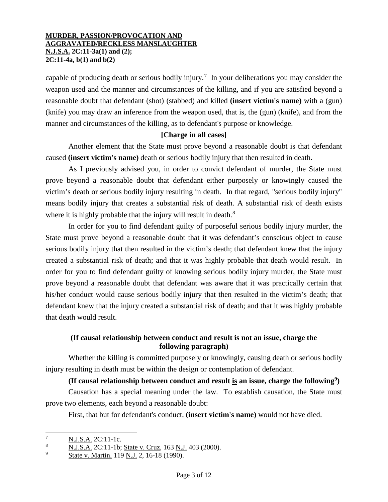capable of producing death or serious bodily injury.<sup>[7](#page-2-0)</sup> In your deliberations you may consider the weapon used and the manner and circumstances of the killing, and if you are satisfied beyond a reasonable doubt that defendant (shot) (stabbed) and killed **(insert victim's name)** with a (gun) (knife) you may draw an inference from the weapon used, that is, the (gun) (knife), and from the manner and circumstances of the killing, as to defendant's purpose or knowledge.

## **[Charge in all cases]**

Another element that the State must prove beyond a reasonable doubt is that defendant caused **(insert victim's name)** death or serious bodily injury that then resulted in death.

As I previously advised you, in order to convict defendant of murder, the State must prove beyond a reasonable doubt that defendant either purposely or knowingly caused the victim's death or serious bodily injury resulting in death. In that regard, "serious bodily injury" means bodily injury that creates a substantial risk of death. A substantial risk of death exists where it is highly probable that the injury will result in death.<sup>[8](#page-2-1)</sup>

In order for you to find defendant guilty of purposeful serious bodily injury murder, the State must prove beyond a reasonable doubt that it was defendant's conscious object to cause serious bodily injury that then resulted in the victim's death; that defendant knew that the injury created a substantial risk of death; and that it was highly probable that death would result. In order for you to find defendant guilty of knowing serious bodily injury murder, the State must prove beyond a reasonable doubt that defendant was aware that it was practically certain that his/her conduct would cause serious bodily injury that then resulted in the victim's death; that defendant knew that the injury created a substantial risk of death; and that it was highly probable that death would result.

# **(If causal relationship between conduct and result is not an issue, charge the following paragraph)**

Whether the killing is committed purposely or knowingly, causing death or serious bodily injury resulting in death must be within the design or contemplation of defendant.

# **(If causal relationship between conduct and result is an issue, charge the following[9](#page-2-2))**

Causation has a special meaning under the law. To establish causation, the State must prove two elements, each beyond a reasonable doubt:

First, that but for defendant's conduct, **(insert victim's name)** would not have died.

<span id="page-2-0"></span> $\frac{7}{8}$  N.J.S.A. 2C:11-1c.

<span id="page-2-1"></span><sup>8</sup> N.J.S.A. 2C:11-1b; State v. Cruz, 163 N.J. 403 (2000).

<span id="page-2-2"></span>State v. Martin, 119 N.J. 2, 16-18 (1990).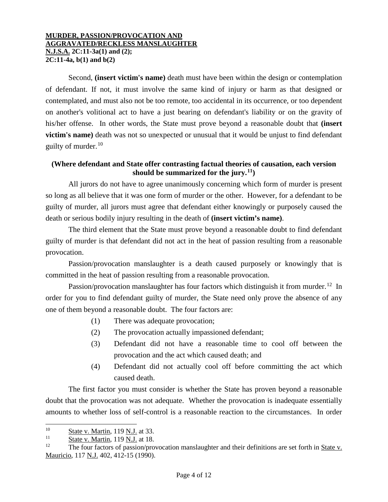Second, **(insert victim's name)** death must have been within the design or contemplation of defendant. If not, it must involve the same kind of injury or harm as that designed or contemplated, and must also not be too remote, too accidental in its occurrence, or too dependent on another's volitional act to have a just bearing on defendant's liability or on the gravity of his/her offense. In other words, the State must prove beyond a reasonable doubt that **(insert victim's name)** death was not so unexpected or unusual that it would be unjust to find defendant guilty of murder.<sup>[10](#page-3-0)</sup>

# **(Where defendant and State offer contrasting factual theories of causation, each version should be summarized for the jury. [11\)](#page-3-1)**

All jurors do not have to agree unanimously concerning which form of murder is present so long as all believe that it was one form of murder or the other. However, for a defendant to be guilty of murder, all jurors must agree that defendant either knowingly or purposely caused the death or serious bodily injury resulting in the death of **(insert victim's name)**.

The third element that the State must prove beyond a reasonable doubt to find defendant guilty of murder is that defendant did not act in the heat of passion resulting from a reasonable provocation.

Passion/provocation manslaughter is a death caused purposely or knowingly that is committed in the heat of passion resulting from a reasonable provocation.

Passion/provocation manslaughter has four factors which distinguish it from murder.<sup>[12](#page-3-2)</sup> In order for you to find defendant guilty of murder, the State need only prove the absence of any one of them beyond a reasonable doubt. The four factors are:

- (1) There was adequate provocation;
- (2) The provocation actually impassioned defendant;
- (3) Defendant did not have a reasonable time to cool off between the provocation and the act which caused death; and
- (4) Defendant did not actually cool off before committing the act which caused death.

The first factor you must consider is whether the State has proven beyond a reasonable doubt that the provocation was not adequate. Whether the provocation is inadequate essentially amounts to whether loss of self-control is a reasonable reaction to the circumstances. In order

<span id="page-3-0"></span> $\frac{10}{11}$  State v. Martin, 119 N.J. at 33.  $\overline{a}$ 

<span id="page-3-1"></span> $\frac{11}{12}$  State v. Martin, 119 N.J. at 18.

<span id="page-3-2"></span>The four factors of passion/provocation manslaughter and their definitions are set forth in State v. Mauricio, 117 N.J. 402, 412-15 (1990).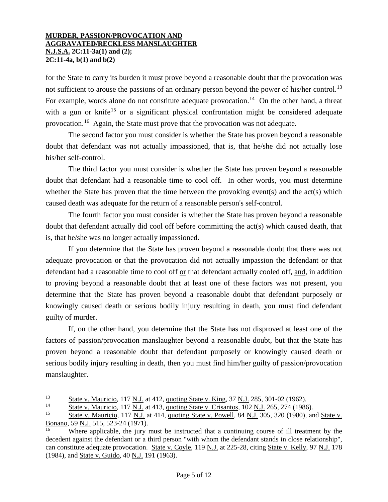for the State to carry its burden it must prove beyond a reasonable doubt that the provocation was not sufficient to arouse the passions of an ordinary person beyond the power of his/her control.<sup>[13](#page-4-0)</sup> For example, words alone do not constitute adequate provocation.<sup>[14](#page-4-1)</sup> On the other hand, a threat with a gun or knife<sup>[15](#page-4-2)</sup> or a significant physical confrontation might be considered adequate provocation.[16](#page-4-3) Again, the State must prove that the provocation was not adequate.

The second factor you must consider is whether the State has proven beyond a reasonable doubt that defendant was not actually impassioned, that is, that he/she did not actually lose his/her self-control.

The third factor you must consider is whether the State has proven beyond a reasonable doubt that defendant had a reasonable time to cool off. In other words, you must determine whether the State has proven that the time between the provoking event(s) and the act(s) which caused death was adequate for the return of a reasonable person's self-control.

The fourth factor you must consider is whether the State has proven beyond a reasonable doubt that defendant actually did cool off before committing the act(s) which caused death, that is, that he/she was no longer actually impassioned.

If you determine that the State has proven beyond a reasonable doubt that there was not adequate provocation or that the provocation did not actually impassion the defendant or that defendant had a reasonable time to cool off or that defendant actually cooled off, and, in addition to proving beyond a reasonable doubt that at least one of these factors was not present, you determine that the State has proven beyond a reasonable doubt that defendant purposely or knowingly caused death or serious bodily injury resulting in death, you must find defendant guilty of murder.

If, on the other hand, you determine that the State has not disproved at least one of the factors of passion/provocation manslaughter beyond a reasonable doubt, but that the State has proven beyond a reasonable doubt that defendant purposely or knowingly caused death or serious bodily injury resulting in death, then you must find him/her guilty of passion/provocation manslaughter.

<span id="page-4-0"></span> $\frac{13}{14}$  State v. Mauricio, 117 N.J. at 412, quoting State v. King, 37 N.J. 285, 301-02 (1962). 13

<span id="page-4-1"></span><sup>&</sup>lt;sup>14</sup> State v. Mauricio, 117 N.J. at 413, quoting State v. Crisantos, 102 N.J. 265, 274 (1986).<br><sup>15</sup> State v. Mauricio, 117 N.J. at 414, quoting State v. Powell, 84 N.J. 305, 320 (1980), an

<span id="page-4-2"></span>State v. Mauricio, 117 N.J. at 414, quoting State v. Powell, 84 N.J. 305, 320 (1980), and State v. Bonano, 59 N.J. 515, 523-24 (1971).

<span id="page-4-3"></span><sup>16</sup> Where applicable, the jury must be instructed that a continuing course of ill treatment by the decedent against the defendant or a third person "with whom the defendant stands in close relationship", can constitute adequate provocation. State v. Coyle, 119 N.J. at 225-28, citing State v. Kelly, 97 N.J. 178 (1984), and State v. Guido, 40 N.J. 191 (1963).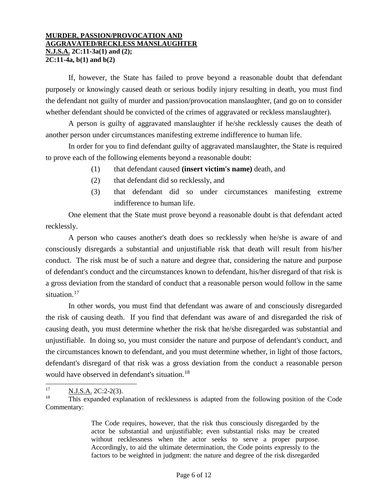If, however, the State has failed to prove beyond a reasonable doubt that defendant purposely or knowingly caused death or serious bodily injury resulting in death, you must find the defendant not guilty of murder and passion/provocation manslaughter, (and go on to consider whether defendant should be convicted of the crimes of aggravated or reckless manslaughter).

A person is guilty of aggravated manslaughter if he/she recklessly causes the death of another person under circumstances manifesting extreme indifference to human life.

In order for you to find defendant guilty of aggravated manslaughter, the State is required to prove each of the following elements beyond a reasonable doubt:

- (1) that defendant caused **(insert victim's name)** death, and
- (2) that defendant did so recklessly, and
- (3) that defendant did so under circumstances manifesting extreme indifference to human life.

One element that the State must prove beyond a reasonable doubt is that defendant acted recklessly.

A person who causes another's death does so recklessly when he/she is aware of and consciously disregards a substantial and unjustifiable risk that death will result from his/her conduct. The risk must be of such a nature and degree that, considering the nature and purpose of defendant's conduct and the circumstances known to defendant, his/her disregard of that risk is a gross deviation from the standard of conduct that a reasonable person would follow in the same situation.<sup>[17](#page-5-0)</sup>

In other words, you must find that defendant was aware of and consciously disregarded the risk of causing death. If you find that defendant was aware of and disregarded the risk of causing death, you must determine whether the risk that he/she disregarded was substantial and unjustifiable. In doing so, you must consider the nature and purpose of defendant's conduct, and the circumstances known to defendant, and you must determine whether, in light of those factors, defendant's disregard of that risk was a gross deviation from the conduct a reasonable person would have observed in defendant's situation.<sup>[18](#page-5-1)</sup>

<span id="page-5-0"></span> $\frac{N.J.S.A.}{18}$   $\frac{2C:2-2(3)}{N}$ . 17

<span id="page-5-1"></span>This expanded explanation of recklessness is adapted from the following position of the Code Commentary:

The Code requires, however, that the risk thus consciously disregarded by the actor be substantial and unjustifiable; even substantial risks may be created without recklessness when the actor seeks to serve a proper purpose. Accordingly, to aid the ultimate determination, the Code points expressly to the factors to be weighted in judgment: the nature and degree of the risk disregarded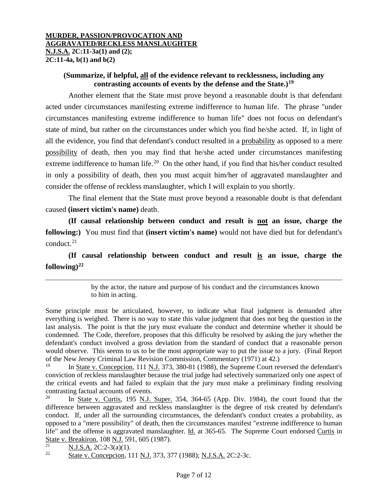# **(Summarize, if helpful, all of the evidence relevant to recklessness, including any contrasting accounts of events by the defense and the State.)[19](#page-6-0)**

Another element that the State must prove beyond a reasonable doubt is that defendant acted under circumstances manifesting extreme indifference to human life. The phrase "under circumstances manifesting extreme indifference to human life" does not focus on defendant's state of mind, but rather on the circumstances under which you find he/she acted. If, in light of all the evidence, you find that defendant's conduct resulted in a probability as opposed to a mere possibility of death, then you may find that he/she acted under circumstances manifesting extreme indifference to human life.<sup>20</sup> On the other hand, if you find that his/her conduct resulted in only a possibility of death, then you must acquit him/her of aggravated manslaughter and consider the offense of reckless manslaughter, which I will explain to you shortly.

The final element that the State must prove beyond a reasonable doubt is that defendant caused **(insert victim's name)** death.

**(If causal relationship between conduct and result is not an issue, charge the following:)** You must find that **(insert victim's name)** would not have died but for defendant's conduct. $21$ 

**(If causal relationship between conduct and result is an issue, charge the following)[22](#page-6-3)**

> by the actor, the nature and purpose of his conduct and the circumstances known to him in acting.

Some principle must be articulated, however, to indicate what final judgment is demanded after everything is weighed. There is no way to state this value judgment that does not beg the question in the last analysis. The point is that the jury must evaluate the conduct and determine whether it should be condemned. The Code, therefore, proposes that this difficulty be resolved by asking the jury whether the defendant's conduct involved a gross deviation from the standard of conduct that a reasonable person would observe. This seems to us to be the most appropriate way to put the issue to a jury. (Final Report of the New Jersey Criminal Law Revision Commission, Commentary (1971) at 42.)

<span id="page-6-0"></span><sup>19</sup> In State v. Concepcion, 111 N.J. 373, 380-81 (1988), the Supreme Court reversed the defendant's conviction of reckless manslaughter because the trial judge had selectively summarized only one aspect of the critical events and had failed to explain that the jury must make a preliminary finding resolving contrasting factual accounts of events.<br> $^{20}$  In State v Curtis 195 N I

<span id="page-6-1"></span>In State v. Curtis, 195 N.J. Super. 354, 364-65 (App. Div. 1984), the court found that the difference between aggravated and reckless manslaughter is the degree of risk created by defendant's conduct. If, under all the surrounding circumstances, the defendant's conduct creates a probability, as opposed to a "mere possibility" of death, then the circumstances manifest "extreme indifference to human life" and the offense is aggravated manslaughter. Id. at 365-65. The Supreme Court endorsed Curtis in State v. Breakiron, 108 N.J. 591, 605 (1987).

<span id="page-6-3"></span><span id="page-6-2"></span> $\frac{21}{22}$  N.J.S.A. 2C:2-3(a)(1).

State v. Concepcion, 111 N.J. 373, 377 (1988); N.J.S.A. 2C:2-3c.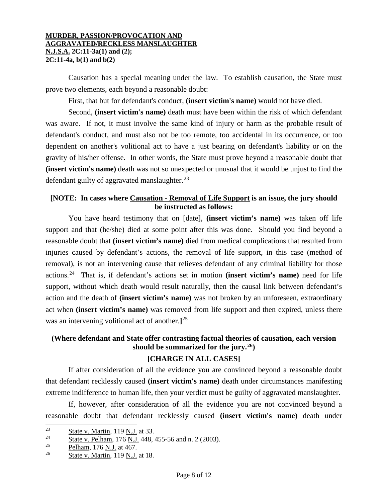Causation has a special meaning under the law. To establish causation, the State must prove two elements, each beyond a reasonable doubt:

First, that but for defendant's conduct, **(insert victim's name)** would not have died.

Second, **(insert victim's name)** death must have been within the risk of which defendant was aware. If not, it must involve the same kind of injury or harm as the probable result of defendant's conduct, and must also not be too remote, too accidental in its occurrence, or too dependent on another's volitional act to have a just bearing on defendant's liability or on the gravity of his/her offense. In other words, the State must prove beyond a reasonable doubt that **(insert victim's name)** death was not so unexpected or unusual that it would be unjust to find the defendant guilty of aggravated manslaughter. $^{23}$  $^{23}$  $^{23}$ 

## **[NOTE: In cases where Causation - Removal of Life Support is an issue, the jury should be instructed as follows:**

You have heard testimony that on [date], **(insert victim's name)** was taken off life support and that (he/she) died at some point after this was done. Should you find beyond a reasonable doubt that **(insert victim's name)** died from medical complications that resulted from injuries caused by defendant's actions, the removal of life support, in this case (method of removal), is not an intervening cause that relieves defendant of any criminal liability for those actions.[24](#page-7-1) That is, if defendant's actions set in motion **(insert victim's name)** need for life support, without which death would result naturally, then the causal link between defendant's action and the death of **(insert victim's name)** was not broken by an unforeseen, extraordinary act when **(insert victim's name)** was removed from life support and then expired, unless there was an intervening volitional act of another.**]** [25](#page-7-2)

# **(Where defendant and State offer contrasting factual theories of causation, each version should be summarized for the jury.[26\)](#page-7-3)**

# **[CHARGE IN ALL CASES]**

If after consideration of all the evidence you are convinced beyond a reasonable doubt that defendant recklessly caused **(insert victim's name)** death under circumstances manifesting extreme indifference to human life, then your verdict must be guilty of aggravated manslaughter.

If, however, after consideration of all the evidence you are not convinced beyond a reasonable doubt that defendant recklessly caused **(insert victim's name)** death under

<span id="page-7-0"></span> $\frac{23}{24}$  State v. Martin, 119 N.J. at 33.

<span id="page-7-1"></span> $\frac{24}{25}$  State v. Pelham, 176 N.J. 448, 455-56 and n. 2 (2003).

<span id="page-7-2"></span> $\frac{25}{26}$  Pelham, 176 N.J. at 467.

<span id="page-7-3"></span>State v. Martin, 119 N.J. at 18.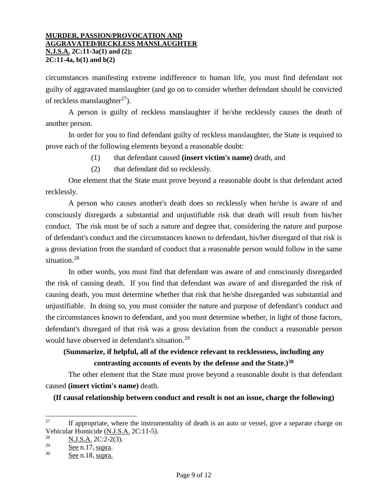circumstances manifesting extreme indifference to human life, you must find defendant not guilty of aggravated manslaughter (and go on to consider whether defendant should be convicted of reckless manslaughter<sup>27</sup>).

A person is guilty of reckless manslaughter if he/she recklessly causes the death of another person.

In order for you to find defendant guilty of reckless manslaughter, the State is required to prove each of the following elements beyond a reasonable doubt:

- (1) that defendant caused **(insert victim's name)** death, and
- (2) that defendant did so recklessly.

One element that the State must prove beyond a reasonable doubt is that defendant acted recklessly.

A person who causes another's death does so recklessly when he/she is aware of and consciously disregards a substantial and unjustifiable risk that death will result from his/her conduct. The risk must be of such a nature and degree that, considering the nature and purpose of defendant's conduct and the circumstances known to defendant, his/her disregard of that risk is a gross deviation from the standard of conduct that a reasonable person would follow in the same situation.<sup>[28](#page-8-1)</sup>

In other words, you must find that defendant was aware of and consciously disregarded the risk of causing death. If you find that defendant was aware of and disregarded the risk of causing death, you must determine whether that risk that he/she disregarded was substantial and unjustifiable. In doing so, you must consider the nature and purpose of defendant's conduct and the circumstances known to defendant, and you must determine whether, in light of those factors, defendant's disregard of that risk was a gross deviation from the conduct a reasonable person would have observed in defendant's situation.<sup>[29](#page-8-2)</sup>

# **(Summarize, if helpful, all of the evidence relevant to recklessness, including any contrasting accounts of events by the defense and the State.)[30](#page-8-3)**

The other element that the State must prove beyond a reasonable doubt is that defendant caused **(insert victim's name)** death.

**(If causal relationship between conduct and result is not an issue, charge the following)**

<span id="page-8-0"></span>If appropriate, where the instrumentality of death is an auto or vessel, give a separate charge on Vehicular Homicide (N.J.S.A. 2C:11-5). 27

<span id="page-8-1"></span> $\frac{28}{29}$  N.J.S.A. 2C:2-2(3).

<span id="page-8-2"></span> $\frac{29}{30}$  See n.17, supra.

<span id="page-8-3"></span>See n.18, supra.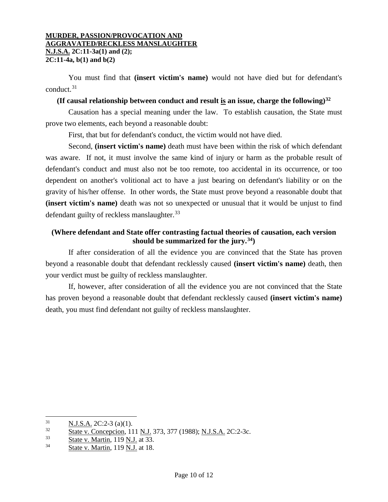You must find that **(insert victim's name)** would not have died but for defendant's conduct.[31](#page-9-0)

## **(If causal relationship between conduct and result is an issue, charge the following)[32](#page-9-1)**

Causation has a special meaning under the law. To establish causation, the State must prove two elements, each beyond a reasonable doubt:

First, that but for defendant's conduct, the victim would not have died.

Second, **(insert victim's name)** death must have been within the risk of which defendant was aware. If not, it must involve the same kind of injury or harm as the probable result of defendant's conduct and must also not be too remote, too accidental in its occurrence, or too dependent on another's volitional act to have a just bearing on defendant's liability or on the gravity of his/her offense. In other words, the State must prove beyond a reasonable doubt that **(insert victim's name)** death was not so unexpected or unusual that it would be unjust to find defendant guilty of reckless manslaughter.<sup>[33](#page-9-2)</sup>

## **(Where defendant and State offer contrasting factual theories of causation, each version should be summarized for the jury.[34\)](#page-9-3)**

If after consideration of all the evidence you are convinced that the State has proven beyond a reasonable doubt that defendant recklessly caused **(insert victim's name)** death, then your verdict must be guilty of reckless manslaughter.

If, however, after consideration of all the evidence you are not convinced that the State has proven beyond a reasonable doubt that defendant recklessly caused **(insert victim's name)** death, you must find defendant not guilty of reckless manslaughter.

<span id="page-9-0"></span> $\frac{31}{32}$  N.J.S.A. 2C:2-3 (a)(1).

<span id="page-9-1"></span> $\frac{32}{33}$  State v. Concepcion, 111 N.J. 373, 377 (1988); N.J.S.A. 2C:2-3c.

<span id="page-9-2"></span> $\frac{\text{State v. Martin}}{34}$ ,  $\frac{\text{State v. Martin}}{110 \text{ N. J.}}$  at 33.

<span id="page-9-3"></span>State v. Martin, 119 N.J. at 18.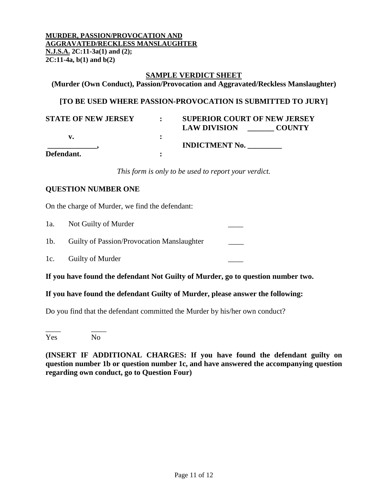### **SAMPLE VERDICT SHEET**

**(Murder (Own Conduct), Passion/Provocation and Aggravated/Reckless Manslaughter)**

## **[TO BE USED WHERE PASSION-PROVOCATION IS SUBMITTED TO JURY]**

| <b>STATE OF NEW JERSEY</b> | <b>SUPERIOR COURT OF NEW JERSEY</b>  |
|----------------------------|--------------------------------------|
|                            | <b>LAW DIVISION</b><br><b>COUNTY</b> |
|                            |                                      |
|                            | <b>INDICTMENT No.</b>                |
| Defendant.                 |                                      |

*This form is only to be used to report your verdict.* 

## **QUESTION NUMBER ONE**

On the charge of Murder, we find the defendant:

| 1a. | Not Guilty of Murder                           |  |
|-----|------------------------------------------------|--|
|     | 1b. Guilty of Passion/Provocation Manslaughter |  |
|     | 1c. Guilty of Murder                           |  |

**If you have found the defendant Not Guilty of Murder, go to question number two.** 

### **If you have found the defendant Guilty of Murder, please answer the following:**

Do you find that the defendant committed the Murder by his/her own conduct?

\_\_\_\_ \_\_\_\_ Yes No

**(INSERT IF ADDITIONAL CHARGES: If you have found the defendant guilty on question number 1b or question number 1c, and have answered the accompanying question regarding own conduct, go to Question Four)**